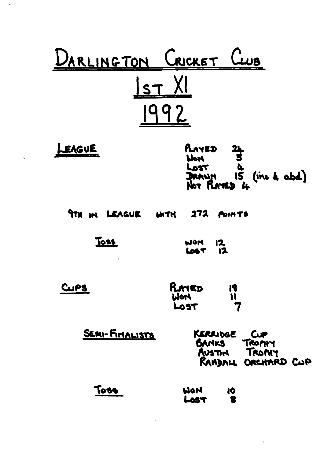| DARLINGTON CRICKET CLUB       |                                                                                  |
|-------------------------------|----------------------------------------------------------------------------------|
| <u>Ist XI</u>                 | 992                                                                              |
| LEAGUE                        | PLAYED 24<br>World 5<br>Lost 4<br>DRAWN 15 (ine 4 abd)<br>Not PLAYED 4           |
| 9TH IN LEAGUE MITH 272 POINTS |                                                                                  |
| <u>Toss</u>                   | WON 12<br><b>LOST</b> 12                                                         |
| CUPS                          | PLAYED<br>$\frac{1}{11}$<br>WON<br>Lost                                          |
| SEMI-FINALISTS                | KERRIDGE<br><b>Cup</b><br>TROPHY<br>BANKS<br>AUSTIN TROMY<br>RANDALL ORCHARD CUP |
| Toss                          | HOM<br>10<br>8<br>LOST                                                           |

 $\mathcal{L}^{\text{max}}_{\text{max}}$  and  $\mathcal{L}^{\text{max}}_{\text{max}}$ 

 $\mathbf{v}^{(i)}$ 

 $\Delta \mathbf{v}$  and  $\mathbf{v}$  and  $\mathbf{v}$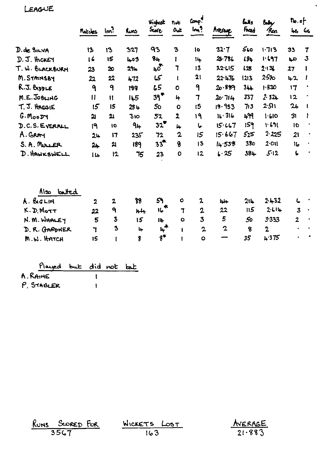LEAGUE

|                                                                                     | Matcles                                      | Im <sup>3</sup>                                                              | Runs.                       | Highest<br><b>Score</b>                         | not<br>$0$ uk                                               | Comp!<br>Im <sup>9</sup>                            | Average                        | وللمأ<br>Front                     | bely<br><i>Run</i>                              | $\mathbf{h} \cdot \mathbf{e}$<br>48 <sub>65</sub> |              |
|-------------------------------------------------------------------------------------|----------------------------------------------|------------------------------------------------------------------------------|-----------------------------|-------------------------------------------------|-------------------------------------------------------------|-----------------------------------------------------|--------------------------------|------------------------------------|-------------------------------------------------|---------------------------------------------------|--------------|
|                                                                                     |                                              |                                                                              |                             |                                                 |                                                             |                                                     |                                |                                    |                                                 |                                                   |              |
| D. de SILVA                                                                         | 13                                           | 13                                                                           | 327                         | 93                                              | 3                                                           | <b>lo</b>                                           | 32.7                           | 560                                | $1 - 713$                                       | 33                                                | 7            |
| $D. J.$ thcker                                                                      | $\overline{16}$                              | 15                                                                           | 403                         | 8 <sub>h</sub>                                  | I                                                           | 14                                                  | $28 - 786$                     | 194                                | 1.697                                           | مبا                                               | $\mathbf{3}$ |
| T. W. BLACKBURN                                                                     | 23                                           | 20                                                                           | <b>294</b>                  | $40^{\circ}$                                    | ٦                                                           | 13                                                  | 22.115                         | 128                                | 2.13                                            | 27                                                |              |
| M. STAINSBY                                                                         | 22                                           | 22                                                                           | 472                         | 15                                              | $\mathbf{I}$                                                | 21                                                  | 22.476                         | 1213                               | $25 - 10$                                       | 42                                                | I            |
| R.J. BIDDLE                                                                         | ٩                                            | 9                                                                            | 188                         | 65                                              | $\mathbf{o}$                                                | 9                                                   | 20.889                         | 344                                | 1.830                                           | 17                                                |              |
| M.E. JOBLING                                                                        | $\mathbf{I}$                                 | $\mathbf{H}$                                                                 | 145                         | 39                                              | 4                                                           | $\overline{1}$                                      | 20.714                         | 337                                | 2.324                                           | 12                                                |              |
| T. J. HAGOIE                                                                        | 15                                           | 15                                                                           | 284                         | 50                                              | $\mathbf 0$                                                 | 15                                                  | 19.953                         | 713                                | 2:511                                           | 2 <sub>b</sub>                                    | $\mathbf{I}$ |
| G.Moo                                                                               | <b>21</b>                                    | 21                                                                           | 310                         | 52                                              | $\overline{\mathbf{r}}$                                     | 19                                                  | 16.316                         | 499                                | 1.610                                           | 31                                                | ı            |
| D.C.S. EVERALL                                                                      | ۱۹                                           | 10                                                                           | 9 <sub>4</sub>              | $32^{\bullet}$                                  | 4                                                           | し                                                   | 15.467                         | 159                                | 1.691                                           | 10                                                |              |
| A. GRAY                                                                             | 24                                           | 17                                                                           | 235                         | 72                                              | $\mathbf 2$                                                 | 5 <sub>15</sub>                                     | 15.667                         | 525                                | $2 - 225$                                       | 21                                                |              |
| S. A. MULLER                                                                        | 24                                           | 21                                                                           | 189                         | $33^{4}$                                        | 8                                                           | 13                                                  | 14.538                         | 380                                | $2$ ·OII                                        | $I_{\sigma}$                                      |              |
| D. HAWKSWELL                                                                        | 14                                           | 12                                                                           | 75                          | 23                                              | ٥                                                           | 12                                                  | 4.25                           | 384                                | 5.12                                            | Ļ                                                 |              |
| Also batted<br>A. BIGLIN<br>K.D.Mort<br>N. M. WHALEY<br>D. R. GARDNER<br>M.W. HATCH | $\boldsymbol{\lambda}$<br>22<br>5<br>٦<br>15 | $\mathbf{2}$<br>٩<br>$\overline{\mathbf{3}}$<br>$\overline{\mathbf{3}}$<br>t | 88<br>$H +$<br>15<br>4<br>8 | 59<br><b>IL **</b><br>14<br>۴*<br>$3^{\bullet}$ | $\bullet$<br>$\mathbf 7$<br>$\bullet$<br>I.<br>$\mathbf{I}$ | 2<br>$\overline{2}$<br>3<br>$\mathbf{2}$<br>$\circ$ | جلجا<br>22<br>5<br>$\mathbf 2$ | 214<br>115<br>50<br>$\bf{8}$<br>35 | 2.432<br>2.114<br>3.333<br>$\mathbf 2$<br>4.375 | L<br>$\overline{\mathbf{3}}$<br>$\overline{2}$    |              |

 $\ddot{\phantom{0}}$ 

| Played but did not bat |  |  |
|------------------------|--|--|
| A. RAINE               |  |  |
| P. STABLER             |  |  |

| RUNS SCORED FOR | WICKETS LOST | <u>AVERAGE</u> |
|-----------------|--------------|----------------|
| 3567            | 163          | 21.883         |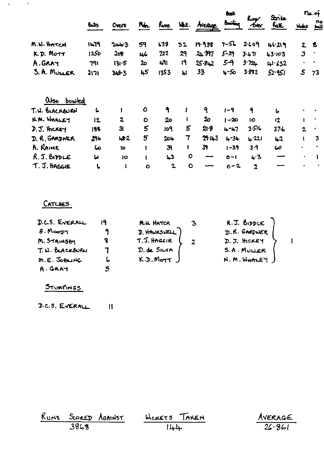|                         |              |                |           |                |           |               | <b>fest</b> |              | Strike   | na of                   |                                |  |
|-------------------------|--------------|----------------|-----------|----------------|-----------|---------------|-------------|--------------|----------|-------------------------|--------------------------------|--|
|                         | <b>Bells</b> | Overs          | Men.      | <u>Runs</u>    | WL.       | <b>Areage</b> | Bowling     | Rury<br>tota | hate     | Webs                    | no<br>$\underline{\mathbf{L}}$ |  |
| M.N. HATCH              | 1479         | 24.3           | 59        | L38            | 52        | 19.938        | $7 - 56$    | 2.609        | 46.219   | 2 <sub>1</sub>          | B                              |  |
| K.D. MOTT               | 1250         | 208            | 46        | 722            | 29        | 24.977        | $5 - 29$    | 3.47         | 43.103   | $\overline{\mathbf{3}}$ |                                |  |
| A.GRAY                  | 791          | $131 - 5$      | م2        | 49 I           | 19        | 25.842        | $5-9$       | 372.         | 41.632   | ٠                       | $\bullet$                      |  |
| S. A. MULLER            | 2171         | 348.3          | 45        | 1353           | IJ,       | 33            | 4-50        | 3.892        | 52.951   | $\mathcal{S}$           | 73                             |  |
| $\omega_{so}$<br>bowled |              |                |           |                |           |               |             |              |          |                         |                                |  |
| T. H. BLACKEURN         | L            |                | $\bullet$ | ٩              |           | 9             | $1 - 9$     | ۹            | 6        |                         |                                |  |
| N.M. WHALET             | 12           | $\mathbf{2}$   | $\bullet$ | م2             |           | 20            | $1 - 20$    | <b>IO</b>    | 12       | 1                       |                                |  |
| $J. J.$ therey          | 188          | 3 <sub>l</sub> | 5         | 109            | 5         | 21B           | 4-47        | 3.516        | $37 - 6$ | $\overline{2}$          |                                |  |
| D. R. GARDNER           | 294          | 2.2            | 5         | $20 +$         | 7         | 21.143        | $4 - 34$    | 4.221        | $+2$     |                         | 3                              |  |
| A. RAINE                | ما           | 10             |           | $\mathfrak{R}$ | ı         | 39            | $1 - 39$    | $3 - 9$      | 60       | $\bullet$               |                                |  |
| $R.5.$ BIDLE            | u            | lO             |           | 43             | $\bullet$ | --            | $O-I$       | 4.3          | --       | ٠                       |                                |  |
| T. J. HAGGIE            | L            | 1              | $\bullet$ | $\mathbf{2}$   | $\bullet$ |               | $0 - 2$     | 2            |          |                         |                                |  |

## CATCHES

 $\mathcal{L}^{\mathcal{L}}(\mathbf{q},\mathbf{q})$  ,  $\mathcal{L}^{\mathcal{L}}(\mathbf{q},\mathbf{q})$ 

| D.C.S. EVERALL  |   | M.H. HATCH   | R.J. BIDDLE  |  |
|-----------------|---|--------------|--------------|--|
| $6.$ Moopy      |   | D. HAWKSHELL | D.R. GARONER |  |
| M. STAINSEN     |   | T.J. HAGGIE  | D. J. HCKEY  |  |
| T. W. BLACKBURN |   | D. de SILVA  | S.A. MULLER  |  |
| M.E. JOBLING    | ь | K.D.Mort     | N.M.WHALEY   |  |
| A. GRAY         | 5 |              |              |  |

# STUMPINGS

 $D.C.S. EVERAL$  $\overline{\mathbf{u}}$ 

|      | RUNS SCORED AGAINST |        | HICKETS TAKEN | AVERAGE |
|------|---------------------|--------|---------------|---------|
| 3868 |                     | $ l+ $ |               | 26.861  |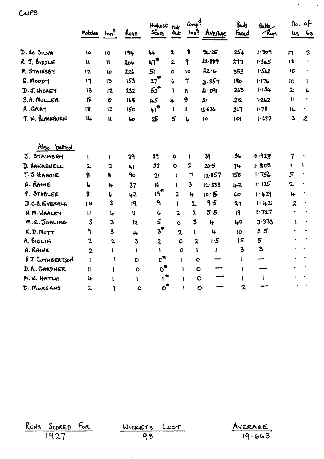|                                  | Matches                 | ln <sub>n</sub> | Runs         | Highest not<br>عقمی    | $\mathbf{0}$ ut         | 6mp<br>lnh <sup>9</sup> | AVERAGE           | <b>Bulls</b><br>Frad | <b>Batts</b><br>Run | 45               | $\mathsf{No.}$ of<br>65 |
|----------------------------------|-------------------------|-----------------|--------------|------------------------|-------------------------|-------------------------|-------------------|----------------------|---------------------|------------------|-------------------------|
|                                  |                         |                 |              |                        |                         |                         |                   |                      |                     |                  |                         |
| D. de SILVA                      | ١o                      | 10              | 194          | 44                     | $\mathbf 2$             | 8                       | 24.25             | 254                  | 1.309               | $\mathbf{r}$     | 3                       |
| $R$ J. $b$ , $p$ $p$ $p$ $p$ $q$ | Ħ                       | $\mathbf{u}$    | 206          | 47 <sup>m</sup>        | $\overline{\mathbf{2}}$ | የ                       | 22.889            | 277                  | 1.345               | 13               |                         |
| M. STAINSBY                      | 12                      | 10              | 225          | 5 <sub>1</sub>         | O                       | ١o                      | 22.6              | 353                  | 1.512               | IO               |                         |
| G. Moopy                         | 17                      | 13              | 153          | 27                     | L                       | $\mathbf{r}$            | บ.857             | 90                   | 1.176               | ID               | 1                       |
| $J. J.$ there $I$                | 13                      | 12              | 232          | $52^{\bullet}$         | $\mathbf{I}$            | $\mathbf{H}$            | 21.091            | 243                  | 1:34                | $\mathbf{z}$     | L                       |
| S.A. MULLER                      | 15                      | 12              | 168          | 45                     | 4                       | 4                       | 21                | 212                  | 1.262               | $\mathbf{u}$     |                         |
| A.GRAY                           | 18                      | 12              | <b>150</b>   | 41 <sup>*</sup>        | 1                       | $\mathbf{u}$            | 13.636            | $2 - 7$              | 1.78                | 14               | ٠                       |
| T. W. BLACKBURN                  | 14                      | $\mathbf{u}$    | صا           | 25                     | 5                       | $\mathbf{L}$            | 10                | O                    | 1.683               | 3                | $\overline{\mathbf{2}}$ |
| Also batted                      |                         |                 |              |                        |                         |                         |                   |                      |                     |                  |                         |
| J. STAINSEY                      | 1                       | 1               | 39           | 39                     | $\bullet$               | ŧ                       | 39                | 3 <sub>6</sub>       | 0.927               | $\overline{7}$   |                         |
| <b>D. HANKSWELL</b>              | $\overline{2}$          | $\overline{a}$  | $\mathbf{h}$ | 32                     | $\bullet$               | 2                       | 20.5              | $7+$                 | 1.805               | ١.               | 1                       |
| T. J. HAGGIE                     | 8                       | 8               | 9o           | 21                     | ŧ                       | 7                       | 12.857            | 158                  | 1.756               | $\overline{5}$   |                         |
| <b>N. RAINE</b>                  | 6                       | 14              | 37           | 16                     | ı                       | 3                       | 12.33             | 42                   | 1.135               | 2                |                         |
| P. STABLER                       | $\boldsymbol{\delta}$   | 6               | 42           | 19 <sup>*</sup>        | $\overline{\mathbf{2}}$ | 4                       | 10.5              | 60                   | $1 - 429$           | 4                |                         |
| <b>J.C.S. EVERALL</b>            | I la                    | 3               | 19           | ٩                      | t                       | $\overline{2}$          | 9.5               | 27                   | $1 - 1421$          | $\boldsymbol{z}$ |                         |
| N.M. WHALEY                      | u                       | 14              | $\mathbf{u}$ | し                      | $\overline{\mathbf{z}}$ | $\overline{2}$          | 5.5               | 19                   | 1.727               | $\blacksquare$   |                         |
| M.E. JOBLING                     | 3                       | $\mathbf{3}$    | 12           | 5                      | Ò                       | 3                       | 4                 | 40                   | $3 - 333$           | 1                |                         |
| K.D.MoTT                         | ٩                       | 3               | 4            | $3^{\bullet}$          | $\overline{2}$          | 1                       | 4                 | IO                   | 2.5                 |                  |                         |
| A. BIGLIN                        | 2                       | $\mathbf{2}$    | 3            | $\overline{2}$         | ٥                       | $\overline{\mathbf{2}}$ | 1.5               | 15                   | 5                   |                  |                         |
| A. RAINE                         | $\overline{\mathbf{2}}$ | I               | Y            | 1                      | 0                       |                         | Ŧ<br>$\mathbf{I}$ | 3                    | $\mathbf{3}$        |                  |                         |
| R.J CUTHBERTSON                  | $\mathbf{I}$            | 1               | Ō            | $\mathbf{o}^{\bullet}$ | 1                       |                         | $\circ$           | Ĩ.                   | سي                  |                  |                         |
| D. R. GARDNER                    | $\mathbf{u}$            | 1               | $\bullet$    | $\mathbf{o}^{\star}$   |                         | 1                       | $\mathbf C$       | 1                    |                     |                  |                         |
| M. W. HATCH                      | 4                       | 1               | ŧ            | $\mathbf{I}^{\bullet}$ |                         | $\mathbf{I}$            | $\mathbf O$       | L                    | $\mathbf{I}$        |                  |                         |
| D. MORGANS                       | 2                       | ١               | $\bullet$    | $\mathbf{o}^{\bullet}$ |                         | 1                       | $\circ$           | $\overline{2}$       |                     |                  |                         |

 $C<sub>v</sub>$ es

RUNS SCORED FOR

WICKETS<br>98  $Lost$ 

 $\hat{\textbf{z}}$ 

 $Averse$ <br> $19.663$ 

 $\lambda_{\rm{max}}=10^{11}$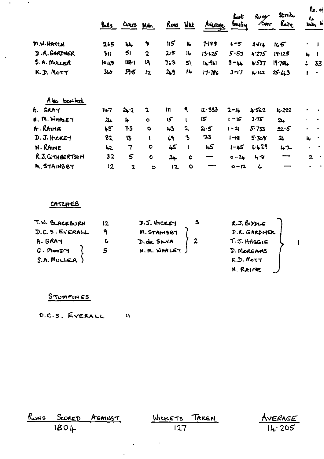|                 | $8 - 5$          | Overs Md.               |                | Runs Wikk       |              | Aterage    | Lıst<br>buline | Rung<br><b>TORC</b> | Stak<br>Rate   |              | $\n  o$<br>n.<br>bais W |
|-----------------|------------------|-------------------------|----------------|-----------------|--------------|------------|----------------|---------------------|----------------|--------------|-------------------------|
| M.W.HATCH       | 265              | جاجأ                    | $\bullet$      | 115             | $\mathbf{L}$ | 7.189      | $1 - 5$        | 2.614               | 165            | $\bullet$    |                         |
| D.R. GARDNER    | 311              | 51                      | $\overline{2}$ | گا 21           | 16           | 13.125     | $5 - 53$       | 4.275               | 19.125         | 4            |                         |
| $S. A. M V L K$ | 10 <sub>43</sub> | $103 - 1$               | 19             | 763             | 51           | $14 - 911$ | $3 - 44$       | 4.537               | $11.751 +$     | L            | 33                      |
| K.J. Mott       | ملا              | 595                     | 12             | 2,9             | 14           | 17.786     | $3 - 17$       | 4.162               | 25.43          | ı            | $\bullet$               |
| Also bowled     |                  |                         |                |                 |              |            |                |                     |                |              |                         |
| A. GRAY         | $14 - 7$         | $2 - 2$                 | $\mathbf{r}$   | $\mathbf{u}$    | ٩            | 12.53      | $2 - 14$       | 4.562               | $16 - 222$     | $\bullet$    |                         |
| N. M. WHALEY    | 24               | 4                       | $\bullet$      | 15 <sup>°</sup> |              | 15         | کا - ا         | $3 - 75$            | $2+$           | ٠            |                         |
| $A$ . Rang      | $+5$             | $T-5$                   | $\bullet$      | $+3$            | $\mathbf{z}$ | 2.5        | 1-21           | 5.733               | 22.5           | $\bullet$    |                         |
| $J. J.$ HCKET   | 82               | 13                      | ι              | 69              | $\mathbf{A}$ | 23         | $g_1 - 1$      | 5.308               | 2 <sub>4</sub> | 4            | ٠                       |
| N. RAINE        | 42               | $\overline{7}$          | $\bullet$      | 45              | ı            | 1.5        | $1 - 45$       | $1 - 29$            | 42             |              | $\bullet$               |
| R.J. WTHBERTSON | 32               | 5                       | $\mathbf 0$    | 24              | $\bullet$    | —          | $0 - 24$       | 48                  |                | $\mathbf{z}$ |                         |
| M. STAINSBY     | 12               | $\overline{\mathbf{z}}$ | $\bullet$      | 12              | $\bullet$    |            | 0-12           | ८                   |                |              |                         |

#### CATCHES

 $\mathcal{A}(\mathbf{a})$  and  $\mathcal{A}(\mathbf{a})$  .

 $\ddot{\phantom{1}}$ 

| T.W. BLACKBURN             | 12 | $J.5.$ there $J$ | R.J.BipcE       |  |
|----------------------------|----|------------------|-----------------|--|
| D.C.S. EVERALL             |    | M. STAINSBY      | D.R. GARDNER    |  |
| A. GRAY                    |    | D. de SILVA      | T. J. HAGGIE    |  |
| $G.$ MooD $H$              |    | N.M. WHALEY      | D. MORGANS      |  |
| $S.A.M$ <sub>ULLER</sub> ) |    |                  | $K.D.$ Mo $TT$  |  |
|                            |    |                  | <b>N. RAINE</b> |  |

### STUMPINES

D.C.S. EVERALL  $\sim$   $\sim$  11

|        | RUNS SCORED AGAINST | WICKETS TAKEN    | AVERAGE |
|--------|---------------------|------------------|---------|
| $180+$ |                     | $\overline{127}$ | 14.205  |

 $\Delta \phi = 0.0002$ 

 $\mathbf{A}$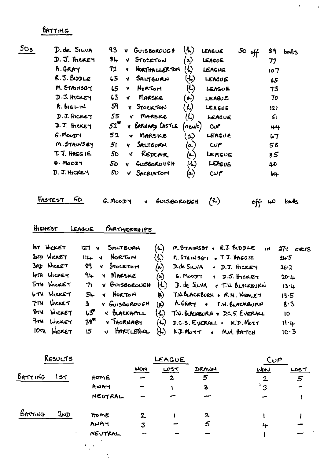BATTING

| 50 <sub>5</sub> | D. de SILVA      | 93                  | $\mathbf{v}$ | GUISBOROUGH      | $\left(\text{\LARGE\bf{.}}\right)$ | LEAGUE         | $50$ off | 89                | bolls |
|-----------------|------------------|---------------------|--------------|------------------|------------------------------------|----------------|----------|-------------------|-------|
|                 | $D.5.$ there $+$ | $3+$                | M.           | STOCKTON         | $\left( \bullet \right)$           | LEACUE         |          | 77                |       |
|                 | A.GRAY           | 72                  | Y.           | NORTHALLERTON    | にい                                 | LEAGUE         |          | 107               |       |
|                 | R.J. BIDDLE      | 5 <sub>5</sub>      | √            | SALTBURN         | (4)                                | LEAGUG         |          | $\boldsymbol{15}$ |       |
|                 | M. STAINSBY      | 5 <sub>5</sub>      | Y            | Norton           | $\boldsymbol{\omega}$              | LEAGUE         |          | 73                |       |
|                 | $J.5.$ HCKEY     | 63                  | Y.           | MARSKE           | $\left( \infty \right)$            | <b>LEAGUE</b>  |          | 70                |       |
|                 | $R.$ BIGLIN      | 59                  | Y.           | STOCKTON         | $\boldsymbol{\mathcal{L}}$         | LEAGUE         |          | 12 <sub>l</sub>   |       |
|                 | $J.J.$ there $J$ | 55                  | V.           | MARSKE           | (L)                                | LEAGUE         |          | 51                |       |
|                 | $J.5.$ there $J$ | $52^{\prime\prime}$ |              | V BARNARD CASTLE | (new)                              | C <sub>U</sub> |          | 44                |       |
|                 | G.MooDTY         | 52                  |              | r MARSKE         | $\infty$                           | LEAGUE         |          | 67                |       |
|                 | M. STAINSBY      | 51                  | v.           | SALTBURN         | (ما                                | CUP            |          | 58                |       |
|                 | $T.S.$ HAGG IE   | 5 <sub>o</sub>      | К            | REDCAR           | (A.)                               | LEAGUE         |          | 85                |       |
|                 | G. MOODY         | 50                  | v            | GUISBORDUSH      | $\left( L\right)$                  | LEAGUE         |          | 40                |       |
|                 | D. J. HICKEY     | SO                  |              | V SACRISTOM      | (၀)                                | $\mathbf{u}$ r |          | b4                |       |
|                 |                  |                     |              |                  |                                    |                |          |                   |       |

FASTEST 50 G. MOODY V GUISBOROOGH (R) off 40 balls

 $\Delta \phi = 0.1$ 

### HIGHEST LEAGUE PARTMERSHIPS

 $\mathcal{O}(\mathbb{R}^n)$  .

|                  | IST HICKET        | ん)<br>$M.S$ TAINSBY + $R.S.S.$ 10DLE<br>127 V SALTBURN<br>1N                     | 271<br>overs |
|------------------|-------------------|----------------------------------------------------------------------------------|--------------|
|                  | 2ND WICKET        | <b>ULL Y NORTON</b><br>$\langle \downarrow \rangle$<br>M. STAINSBY & T.J. HAGGIE | 24.5         |
|                  | 3RD WICKET        | 99 V STOCKTON<br>(ھا<br>$D.de$ SILVA $\rightarrow$ D.J. HCKEY                    | 26.2         |
|                  | IFTH WICKET       | 94 Y MARSKE<br>/山<br>$G.MooDT + D.5.$ HCKEY                                      | 20·1         |
|                  | 5TH WICKET        | (L)<br>71 V BUISBOROUGH<br>D. de SILVA o T.N. BLACKBURN                          | 13.4         |
|                  | <b>6TH WICKET</b> | Y NORTON<br>h)<br>T.W.BLACKBURN . N.M. WHALEY<br>$5 -$                           | 13.5         |
|                  | 7TH WICKET        | A.GRAY + T.W.BLACKBURN<br>Y GUISBOROUGH<br>3<br>(င)                              | 8.3          |
|                  | 8TH WICKET        | $L5$ $\sqrt{6}$ becausing<br>T.W. BLACKBURN + D.C. S. EVERALL<br>しんり             | 10           |
|                  | 9TH WICKET        | 35<br>V THORNABY<br>$(A)$ D.C.S. EVERALL . K.D. MOTT                             | 11.4         |
| 10 <sub>74</sub> | WORET             | v HARTLEPOOL<br>$(L)$ K.D. Mott + M.W. HATCH<br>15                               | 10.3         |

| RESULTS           |              |              | LEAGUE       |              | C   |             |
|-------------------|--------------|--------------|--------------|--------------|-----|-------------|
|                   |              | WON          | $L$ $O5T$    | DRAWN        | WON | LOST        |
| BATTING<br>157    | HOME         |              | $\mathbf{2}$ | 5            |     | $5^{\circ}$ |
|                   | ANAY         |              |              | $\mathbf{3}$ | 3   |             |
|                   | NEUTRAL      |              |              |              |     |             |
| BATTING<br>$2\nu$ | HomE         | $\mathbf{z}$ |              | $\mathbf{z}$ |     |             |
|                   | AWAY         | 3            |              | 5            | 4   |             |
|                   | NEUTRAL<br>۰ |              |              |              |     |             |
|                   |              |              |              |              |     |             |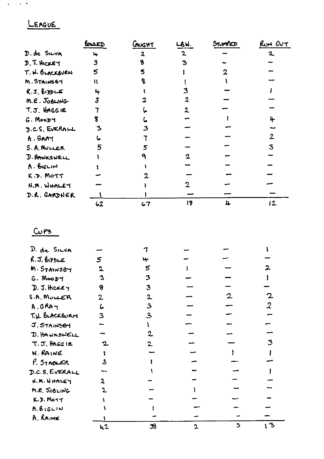# LEAGUE

 $\sim 10^{-10}$  km s  $^{-1}$ 

|                     | bourd | CAUGHT | LBW. | Srumero | $RU$ N $OU$  |
|---------------------|-------|--------|------|---------|--------------|
| D. de SILVA         | ц.    | 2      | י    |         | $\mathbf{z}$ |
| $D.$ J. therey      | 3     | 8      | З    |         |              |
| T. W. BLACKBURN     | 5     | 5      |      |         |              |
| M. STAINSBY         | W     |        |      |         |              |
| R.5.899LF           | 4     |        |      |         |              |
| $M.E. J_0BUNG$      | 3     |        | 2    |         |              |
| T.J. HAGGIE         |       |        |      |         |              |
| $G.$ Moop $H$       |       |        |      |         | Ŀ.           |
| D.C.S. EVERALL      |       |        |      |         |              |
| A. GRAY             |       |        |      |         | 2            |
| S. A. NULLER        | 5     |        |      |         | 3            |
| <b>J. HANKSNELL</b> |       |        |      |         |              |
| A. BIGLIN           |       |        |      |         |              |
| K.D. MOTT           |       |        |      |         |              |
| N.M. WHALEY         |       |        |      |         |              |
| D.R. GARDNER        |       |        |      |         |              |
|                     | 62    | 67     | 18   | 4       | 12           |

### $C^{PS}$

| D. de SILVA      |             |              |              |   |    |
|------------------|-------------|--------------|--------------|---|----|
| R.5.69           | 5           | ᡅ            |              |   |    |
| M. STAINSBY      | $\mathbf 2$ | 5            |              |   |    |
| $G.$ Moody       | 3           | 3            |              |   |    |
| $D.5.$ there $y$ | 8           | 3            |              |   |    |
| S.A. MULLER      | 2           | $\mathbf 2$  |              |   |    |
| A.GRAY           | L           | $\mathbf{3}$ |              |   | 2  |
| T.W. BLACKBURN   | 3           | 3            |              |   |    |
| J. STAINSOY      |             |              |              |   |    |
| D. HANKSNELL     |             | 2            |              |   |    |
| T.J. HAGGIE      |             | 2.           |              |   | 3  |
| <b>N. RAINE</b>  |             |              |              |   |    |
| P. STABLER       | 3           |              |              |   |    |
| D.C.S. EVERALL   |             |              |              |   |    |
| N.M. WHALEY      |             |              |              |   |    |
| M.E. JOBLING     |             |              |              |   |    |
| K.J. Morr        |             |              |              |   |    |
| A.B1GLIN         |             |              |              |   |    |
| A. RAINE         |             |              |              |   |    |
|                  | 42          | 38           | $\mathbf{c}$ | 3 | (ろ |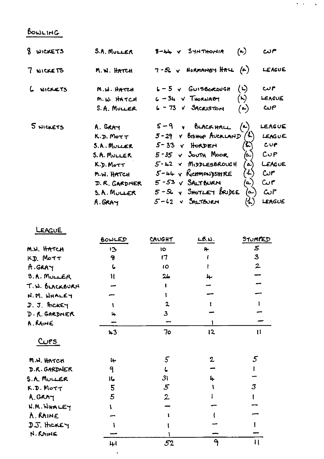## BOWLING

| 8 WICKETS | <b>S.A. MULLER</b>                                                                                                                     | $(\bullet)$<br>$8 - 44 - 8$ SynThorin                                                                                                                                                                                                                                                                                                                                       | حمن                                                                                   |
|-----------|----------------------------------------------------------------------------------------------------------------------------------------|-----------------------------------------------------------------------------------------------------------------------------------------------------------------------------------------------------------------------------------------------------------------------------------------------------------------------------------------------------------------------------|---------------------------------------------------------------------------------------|
| 7 WICKETS | M.W. HATCH                                                                                                                             | $7-56$ $\sqrt{ }$ Normanisy HALL $(4)$                                                                                                                                                                                                                                                                                                                                      | LEAGUE                                                                                |
| 6 NICKETS | M.W. HATCH<br>m.w HATCH                                                                                                                | $\ddot{\omega}$<br>$L - 5$ $\vee$ $GUI5600000H$<br>$(\kappa)$<br>$6 - 34 - 7$ THORNABY                                                                                                                                                                                                                                                                                      | م ب<br><b>LEACUE</b>                                                                  |
|           | $S.A.$ MULLER                                                                                                                          | $6 - 73$ $\sqrt{3}$ Acristory<br>$\left(\infty\right)$                                                                                                                                                                                                                                                                                                                      | $\omega e$                                                                            |
| 5 NICKETS | A. GRAY<br>$K.D.$ Mo $T$ T<br><b>S.A. MULLER</b><br>S. A. MULLER<br>K.D. Morr<br>M.W. HATCH<br>D. R. GARDNER<br>S.A. MULLER<br>A. GRAY | $(\bullet)$<br>$5 - 9$ $\sqrt{6}$ BLACK HALL<br>$5 - 29$ $\times$ BISHOP AVERLAND<br>$5 - 33$ $\vee$ HORDEN<br>6.)<br>$5 - 35$ $\vee$ South Moor<br>َ ت<br>$5 - 42$ v MIDDLESBROUGH<br>a)<br>$5 - 44$ $\vee$ RetmonssHRE<br>$\mathcal{L}$<br>$5 - 53$ $\vee$ $S$ ALTBURN<br>(م/<br>$5 - S$ $\epsilon$ SHOTLEY BRIDGE<br>$(\boldsymbol{\omega})$<br>$5 - 62$ $\vee$ SALTEURN | LEAGUE<br>LEAGUE<br>CUP<br>CUP<br>LEAGUE<br>$\omega$ r<br>Cur<br>$\omega$ r<br>LEAGUE |

 $\sigma$  ,  $\sigma$  ,  $\sigma$  ,  $\sigma$ 

LEAGUE

|                    | BOWLED     | CAUGHT          | LB.W.             | <u>STUMPED</u> |
|--------------------|------------|-----------------|-------------------|----------------|
| M.W. HATCH         | 13         | 10              | 4                 | 5              |
| K.D. MOTT          | 9          | 17              |                   | $\mathbf{3}$   |
| A.GARY             | $\epsilon$ | 1Ō              |                   | $\mathbf{z}$   |
| <b>S.A. MULLER</b> | Ħ          | 26              | 4                 |                |
| T.N. BLACKBURN     |            |                 |                   |                |
| N.M. WHALEY        |            |                 |                   |                |
| D. J. ACKEY        |            | 2               |                   |                |
| D. R. GARDNER      | ц.         | $\mathbf{3}$    |                   |                |
| A. RAINE           |            |                 |                   |                |
|                    | $+3$       | 70              | 12                | $\mathbf{1}$   |
| <u>Curs</u>        |            |                 |                   |                |
| M.W. HATCH         | سنا        | 5               | $\mathbf{2}$      | 5              |
| D.R. GARDNER       | 9          |                 |                   |                |
| S.A. MULLER        | 16         | 31              | 4                 |                |
| K.D. Mort          | 5          | $5\overline{)}$ |                   | 3              |
| A.GRAY             | 5          | $\overline{2}$  |                   |                |
| N.M. WHALEY        |            |                 |                   |                |
| A. RAINE           |            |                 |                   |                |
| D.J. HCKEY         |            |                 |                   |                |
| N. RAIHE           |            |                 |                   |                |
|                    | 41         | 52              | $\mathbf{\Theta}$ | $\mathbf{1}$   |

 $\ddot{\phantom{a}}$